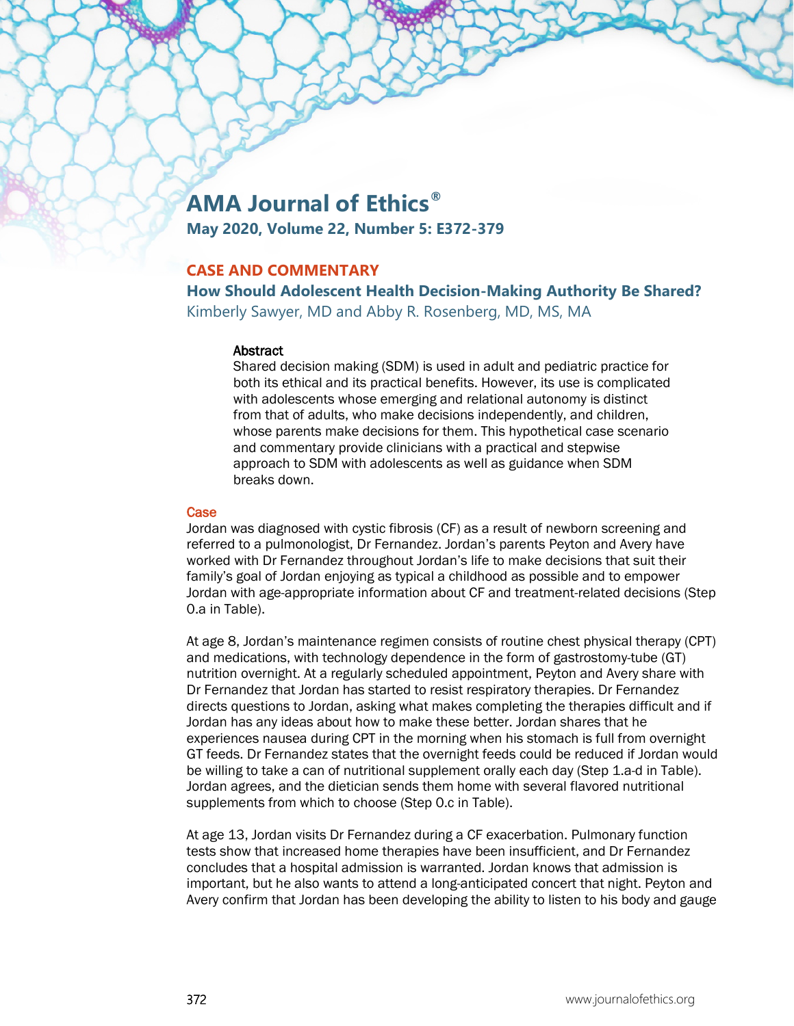# **AMA Journal of Ethics®**

**May 2020, Volume 22, Number 5: E372-379**

# **CASE AND COMMENTARY**

**How Should Adolescent Health Decision-Making Authority Be Shared?** Kimberly Sawyer, MD and Abby R. Rosenberg, MD, MS, MA

## Abstract

Shared decision making (SDM) is used in adult and pediatric practice for both its ethical and its practical benefits. However, its use is complicated with adolescents whose emerging and relational autonomy is distinct from that of adults, who make decisions independently, and children, whose parents make decisions for them. This hypothetical case scenario and commentary provide clinicians with a practical and stepwise approach to SDM with adolescents as well as guidance when SDM breaks down.

### **Case**

Jordan was diagnosed with cystic fibrosis (CF) as a result of newborn screening and referred to a pulmonologist, Dr Fernandez. Jordan's parents Peyton and Avery have worked with Dr Fernandez throughout Jordan's life to make decisions that suit their family's goal of Jordan enjoying as typical a childhood as possible and to empower Jordan with age-appropriate information about CF and treatment-related decisions (Step 0.a in Table).

At age 8, Jordan's maintenance regimen consists of routine chest physical therapy (CPT) and medications, with technology dependence in the form of gastrostomy-tube (GT) nutrition overnight. At a regularly scheduled appointment, Peyton and Avery share with Dr Fernandez that Jordan has started to resist respiratory therapies. Dr Fernandez directs questions to Jordan, asking what makes completing the therapies difficult and if Jordan has any ideas about how to make these better. Jordan shares that he experiences nausea during CPT in the morning when his stomach is full from overnight GT feeds. Dr Fernandez states that the overnight feeds could be reduced if Jordan would be willing to take a can of nutritional supplement orally each day (Step 1.a-d in Table). Jordan agrees, and the dietician sends them home with several flavored nutritional supplements from which to choose (Step 0.c in Table).

At age 13, Jordan visits Dr Fernandez during a CF exacerbation. Pulmonary function tests show that increased home therapies have been insufficient, and Dr Fernandez concludes that a hospital admission is warranted. Jordan knows that admission is important, but he also wants to attend a long-anticipated concert that night. Peyton and Avery confirm that Jordan has been developing the ability to listen to his body and gauge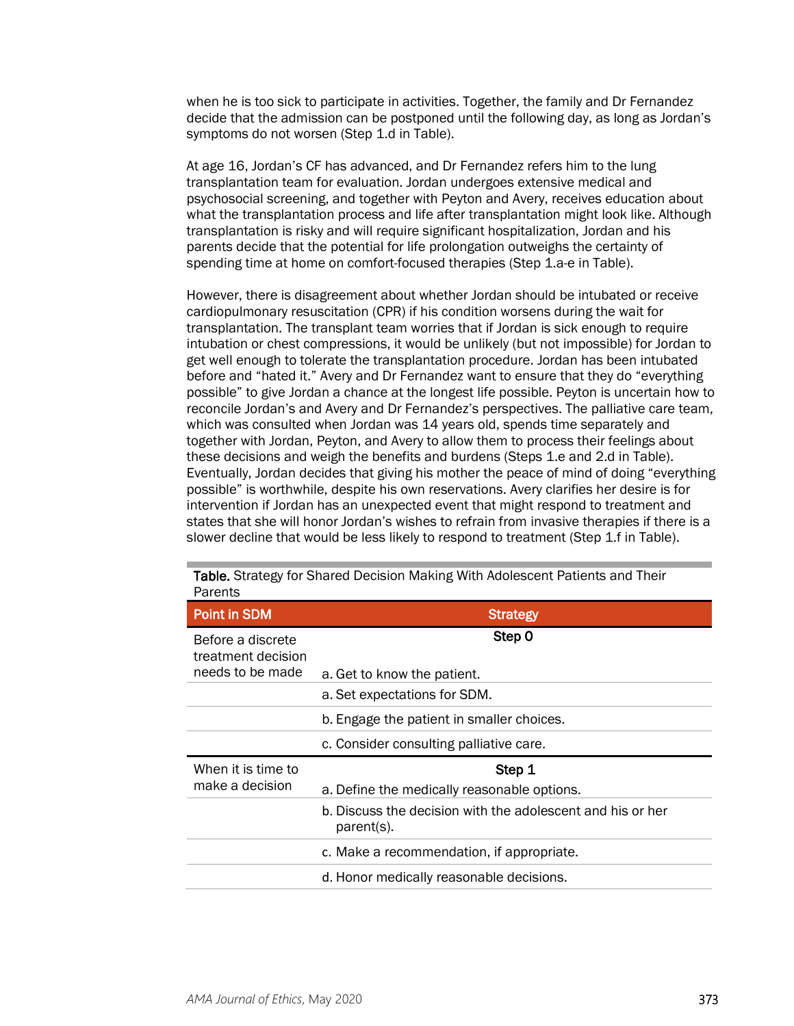when he is too sick to participate in activities. Together, the family and Dr Fernandez decide that the admission can be postponed until the following day, as long as Jordan's symptoms do not worsen (Step 1.d in Table).

At age 16, Jordan's CF has advanced, and Dr Fernandez refers him to the lung transplantation team for evaluation. Jordan undergoes extensive medical and psychosocial screening, and together with Peyton and Avery, receives education about what the transplantation process and life after transplantation might look like. Although transplantation is risky and will require significant hospitalization, Jordan and his parents decide that the potential for life prolongation outweighs the certainty of spending time at home on comfort-focused therapies (Step 1.a-e in Table).

However, there is disagreement about whether Jordan should be intubated or receive cardiopulmonary resuscitation (CPR) if his condition worsens during the wait for transplantation. The transplant team worries that if Jordan is sick enough to require intubation or chest compressions, it would be unlikely (but not impossible) for Jordan to get well enough to tolerate the transplantation procedure. Jordan has been intubated before and "hated it." Avery and Dr Fernandez want to ensure that they do "everything possible" to give Jordan a chance at the longest life possible. Peyton is uncertain how to reconcile Jordan's and Avery and Dr Fernandez's perspectives. The palliative care team, which was consulted when Jordan was 14 years old, spends time separately and together with Jordan, Peyton, and Avery to allow them to process their feelings about these decisions and weigh the benefits and burdens (Steps 1.e and 2.d in Table). Eventually, Jordan decides that giving his mother the peace of mind of doing "everything possible" is worthwhile, despite his own reservations. Avery clarifies her desire is for intervention if Jordan has an unexpected event that might respond to treatment and states that she will honor Jordan's wishes to refrain from invasive therapies if there is a slower decline that would be less likely to respond to treatment (Step 1.f in Table).

| <b>Point in SDM</b>                                         | <b>Strategy</b>                                                          |
|-------------------------------------------------------------|--------------------------------------------------------------------------|
| Before a discrete<br>treatment decision<br>needs to be made | Step 0                                                                   |
|                                                             | a. Get to know the patient.                                              |
|                                                             | a. Set expectations for SDM.                                             |
|                                                             | b. Engage the patient in smaller choices.                                |
|                                                             | c. Consider consulting palliative care.                                  |
| When it is time to<br>make a decision                       | Step 1                                                                   |
|                                                             | a. Define the medically reasonable options.                              |
|                                                             | b. Discuss the decision with the adolescent and his or her<br>parent(s). |
|                                                             | c. Make a recommendation, if appropriate.                                |
|                                                             | d. Honor medically reasonable decisions.                                 |

Table. Strategy for Shared Decision Making With Adolescent Patients and Their Parents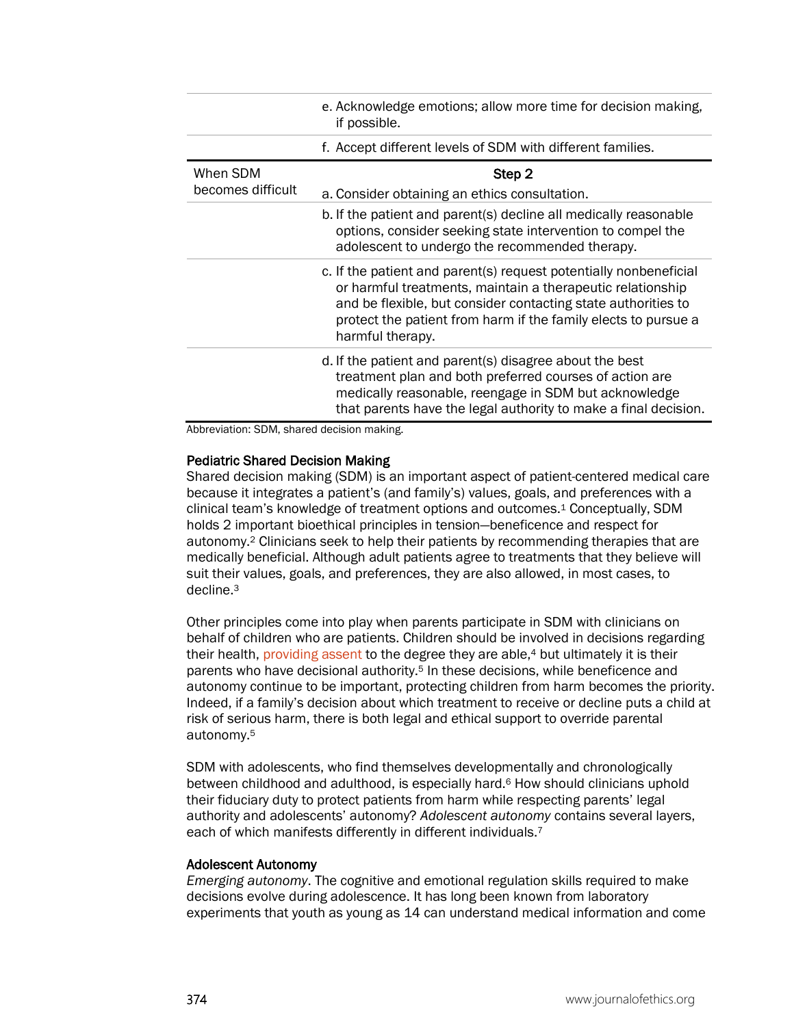|                               | e. Acknowledge emotions; allow more time for decision making,<br>if possible.                                                                                                                                                                                                          |
|-------------------------------|----------------------------------------------------------------------------------------------------------------------------------------------------------------------------------------------------------------------------------------------------------------------------------------|
|                               | f. Accept different levels of SDM with different families.                                                                                                                                                                                                                             |
| When SDM<br>becomes difficult | Step 2<br>a. Consider obtaining an ethics consultation.                                                                                                                                                                                                                                |
|                               | b. If the patient and parent(s) decline all medically reasonable<br>options, consider seeking state intervention to compel the<br>adolescent to undergo the recommended therapy.                                                                                                       |
|                               | c. If the patient and parent(s) request potentially nonbeneficial<br>or harmful treatments, maintain a therapeutic relationship<br>and be flexible, but consider contacting state authorities to<br>protect the patient from harm if the family elects to pursue a<br>harmful therapy. |
|                               | d. If the patient and parent(s) disagree about the best<br>treatment plan and both preferred courses of action are<br>medically reasonable, reengage in SDM but acknowledge<br>that parents have the legal authority to make a final decision.                                         |

Abbreviation: SDM, shared decision making.

#### Pediatric Shared Decision Making

Shared decision making (SDM) is an important aspect of patient-centered medical care because it integrates a patient's (and family's) values, goals, and preferences with a clinical team's knowledge of treatment options and outcomes.1 Conceptually, SDM holds 2 important bioethical principles in tension—beneficence and respect for autonomy.2 Clinicians seek to help their patients by recommending therapies that are medically beneficial. Although adult patients agree to treatments that they believe will suit their values, goals, and preferences, they are also allowed, in most cases, to decline.3

Other principles come into play when parents participate in SDM with clinicians on behalf of children who are patients. Children should be involved in decisions regarding their health, [providing assent](https://journalofethics.ama-assn.org/article/joey-knows-best-balancing-conflicts-and-defending-childs-best-interest-difficult-clinical-decisions/2014-08) to the degree they are able,<sup>4</sup> but ultimately it is their parents who have decisional authority.5 In these decisions, while beneficence and autonomy continue to be important, protecting children from harm becomes the priority. Indeed, if a family's decision about which treatment to receive or decline puts a child at risk of serious harm, there is both legal and ethical support to override parental autonomy.5

SDM with adolescents, who find themselves developmentally and chronologically between childhood and adulthood, is especially hard.<sup>6</sup> How should clinicians uphold their fiduciary duty to protect patients from harm while respecting parents' legal authority and adolescents' autonomy? *Adolescent autonomy* contains several layers, each of which manifests differently in different individuals.<sup>7</sup>

#### Adolescent Autonomy

*Emerging autonomy*. The cognitive and emotional regulation skills required to make decisions evolve during adolescence. It has long been known from laboratory experiments that youth as young as 14 can understand medical information and come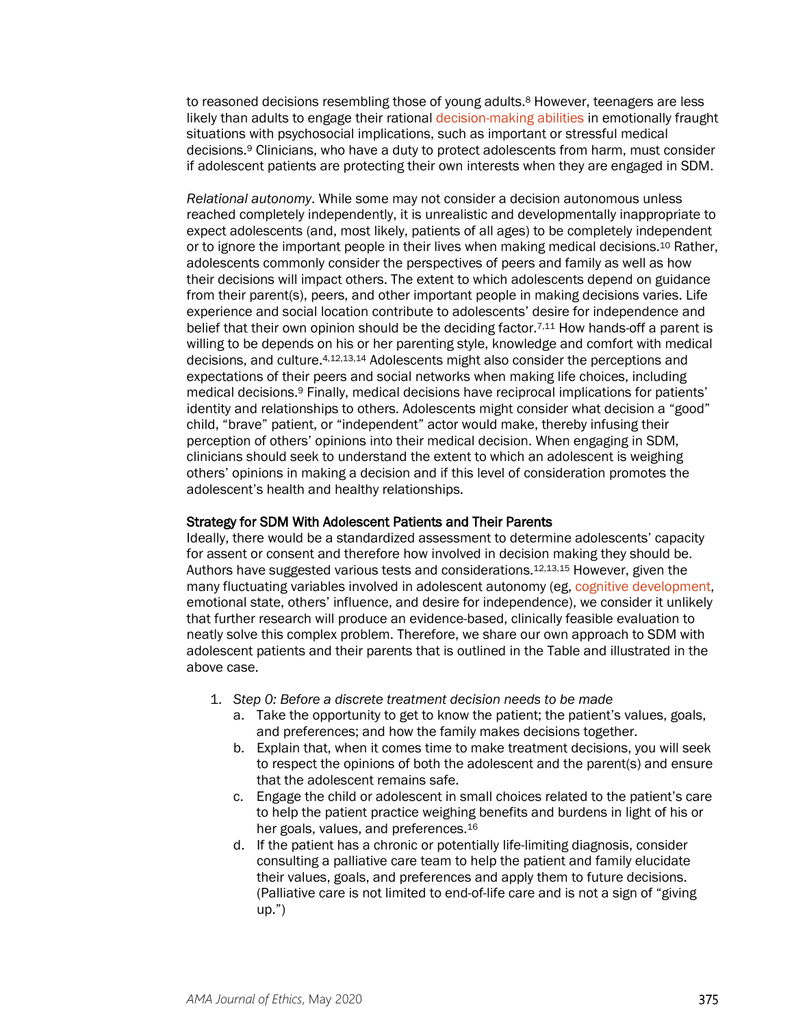to reasoned decisions resembling those of young adults.<sup>8</sup> However, teenagers are less likely than adults to engage their rational [decision-making abilities](https://journalofethics.ama-assn.org/article/how-should-decision-sharing-roles-be-considered-adolescent-gender-surgeries/2020-05) in emotionally fraught situations with psychosocial implications, such as important or stressful medical decisions.9 Clinicians, who have a duty to protect adolescents from harm, must consider if adolescent patients are protecting their own interests when they are engaged in SDM.

*Relational autonomy*. While some may not consider a decision autonomous unless reached completely independently, it is unrealistic and developmentally inappropriate to expect adolescents (and, most likely, patients of all ages) to be completely independent or to ignore the important people in their lives when making medical decisions.<sup>10</sup> Rather, adolescents commonly consider the perspectives of peers and family as well as how their decisions will impact others. The extent to which adolescents depend on guidance from their parent(s), peers, and other important people in making decisions varies. Life experience and social location contribute to adolescents' desire for independence and belief that their own opinion should be the deciding factor.7,11 How hands-off a parent is willing to be depends on his or her parenting style, knowledge and comfort with medical decisions, and culture.4,12,13,14 Adolescents might also consider the perceptions and expectations of their peers and social networks when making life choices, including medical decisions.9 Finally, medical decisions have reciprocal implications for patients' identity and relationships to others. Adolescents might consider what decision a "good" child, "brave" patient, or "independent" actor would make, thereby infusing their perception of others' opinions into their medical decision. When engaging in SDM, clinicians should seek to understand the extent to which an adolescent is weighing others' opinions in making a decision and if this level of consideration promotes the adolescent's health and healthy relationships.

## Strategy for SDM With Adolescent Patients and Their Parents

Ideally, there would be a standardized assessment to determine adolescents' capacity for assent or consent and therefore how involved in decision making they should be. Authors have suggested various tests and considerations.12,13,15 However, given the many fluctuating variables involved in adolescent autonomy (eg[, cognitive development,](https://journalofethics.ama-assn.org/article/locating-risk-adolescent-brain-ethical-challenges-use-biomarkers-adolescent-health-and-social-policy/2016-12) emotional state, others' influence, and desire for independence), we consider it unlikely that further research will produce an evidence-based, clinically feasible evaluation to neatly solve this complex problem. Therefore, we share our own approach to SDM with adolescent patients and their parents that is outlined in the Table and illustrated in the above case.

- 1. *Step 0: Before a discrete treatment decision needs to be made*
	- a. Take the opportunity to get to know the patient; the patient's values, goals, and preferences; and how the family makes decisions together.
	- b. Explain that, when it comes time to make treatment decisions, you will seek to respect the opinions of both the adolescent and the parent(s) and ensure that the adolescent remains safe.
	- c. Engage the child or adolescent in small choices related to the patient's care to help the patient practice weighing benefits and burdens in light of his or her goals, values, and preferences.<sup>16</sup>
	- d. If the patient has a chronic or potentially life-limiting diagnosis, consider consulting a palliative care team to help the patient and family elucidate their values, goals, and preferences and apply them to future decisions. (Palliative care is not limited to end-of-life care and is not a sign of "giving up.")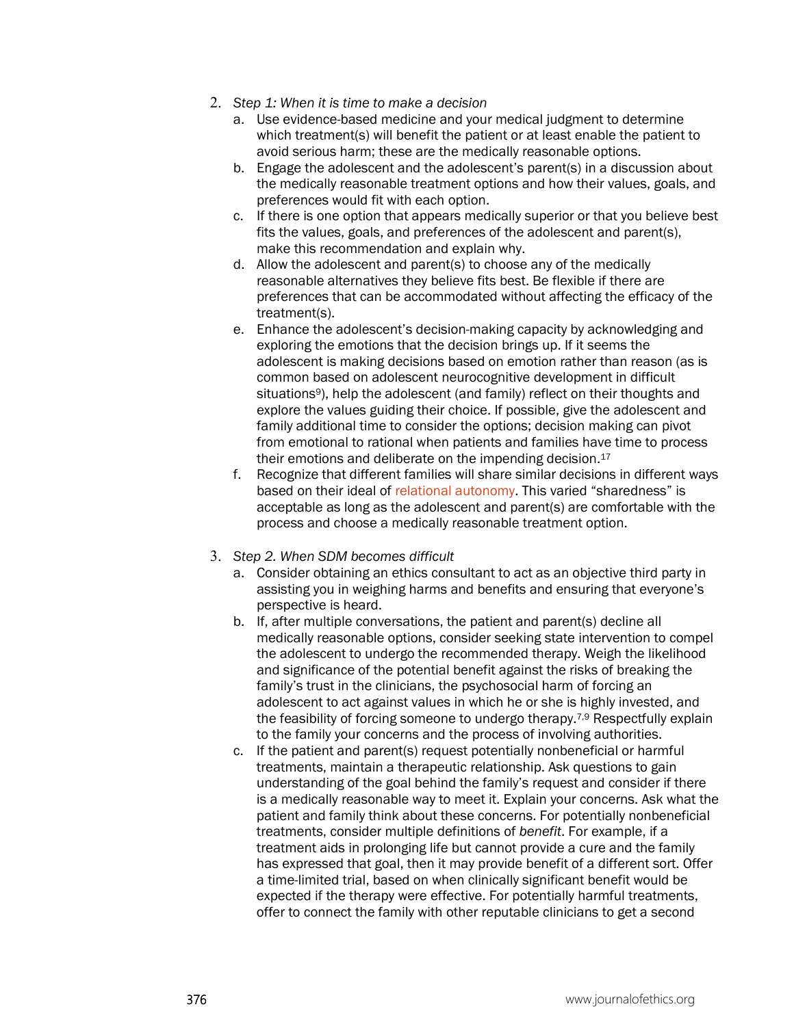- 2. *Step 1: When it is time to make a decision*
	- a. Use evidence-based medicine and your medical judgment to determine which treatment(s) will benefit the patient or at least enable the patient to avoid serious harm; these are the medically reasonable options.
	- b. Engage the adolescent and the adolescent's parent(s) in a discussion about the medically reasonable treatment options and how their values, goals, and preferences would fit with each option.
	- c. If there is one option that appears medically superior or that you believe best fits the values, goals, and preferences of the adolescent and parent(s), make this recommendation and explain why.
	- d. Allow the adolescent and parent(s) to choose any of the medically reasonable alternatives they believe fits best. Be flexible if there are preferences that can be accommodated without affecting the efficacy of the treatment(s).
	- e. Enhance the adolescent's decision-making capacity by acknowledging and exploring the emotions that the decision brings up. If it seems the adolescent is making decisions based on emotion rather than reason (as is common based on adolescent neurocognitive development in difficult situations9), help the adolescent (and family) reflect on their thoughts and explore the values guiding their choice. If possible, give the adolescent and family additional time to consider the options; decision making can pivot from emotional to rational when patients and families have time to process their emotions and deliberate on the impending decision.<sup>17</sup>
	- f. Recognize that different families will share similar decisions in different ways based on their ideal of [relational autonomy.](https://journalofethics.ama-assn.org/article/communicating-evidence-shared-decision-making/2013-01) This varied "sharedness" is acceptable as long as the adolescent and parent(s) are comfortable with the process and choose a medically reasonable treatment option.
- 3. *Step 2. When SDM becomes difficult*
	- a. Consider obtaining an ethics consultant to act as an objective third party in assisting you in weighing harms and benefits and ensuring that everyone's perspective is heard.
	- b. If, after multiple conversations, the patient and parent(s) decline all medically reasonable options, consider seeking state intervention to compel the adolescent to undergo the recommended therapy. Weigh the likelihood and significance of the potential benefit against the risks of breaking the family's trust in the clinicians, the psychosocial harm of forcing an adolescent to act against values in which he or she is highly invested, and the feasibility of forcing someone to undergo therapy.<sup>7,9</sup> Respectfully explain to the family your concerns and the process of involving authorities.
	- c. If the patient and parent(s) request potentially nonbeneficial or harmful treatments, maintain a therapeutic relationship. Ask questions to gain understanding of the goal behind the family's request and consider if there is a medically reasonable way to meet it. Explain your concerns. Ask what the patient and family think about these concerns. For potentially nonbeneficial treatments, consider multiple definitions of *benefit*. For example, if a treatment aids in prolonging life but cannot provide a cure and the family has expressed that goal, then it may provide benefit of a different sort. Offer a time-limited trial, based on when clinically significant benefit would be expected if the therapy were effective. For potentially harmful treatments, offer to connect the family with other reputable clinicians to get a second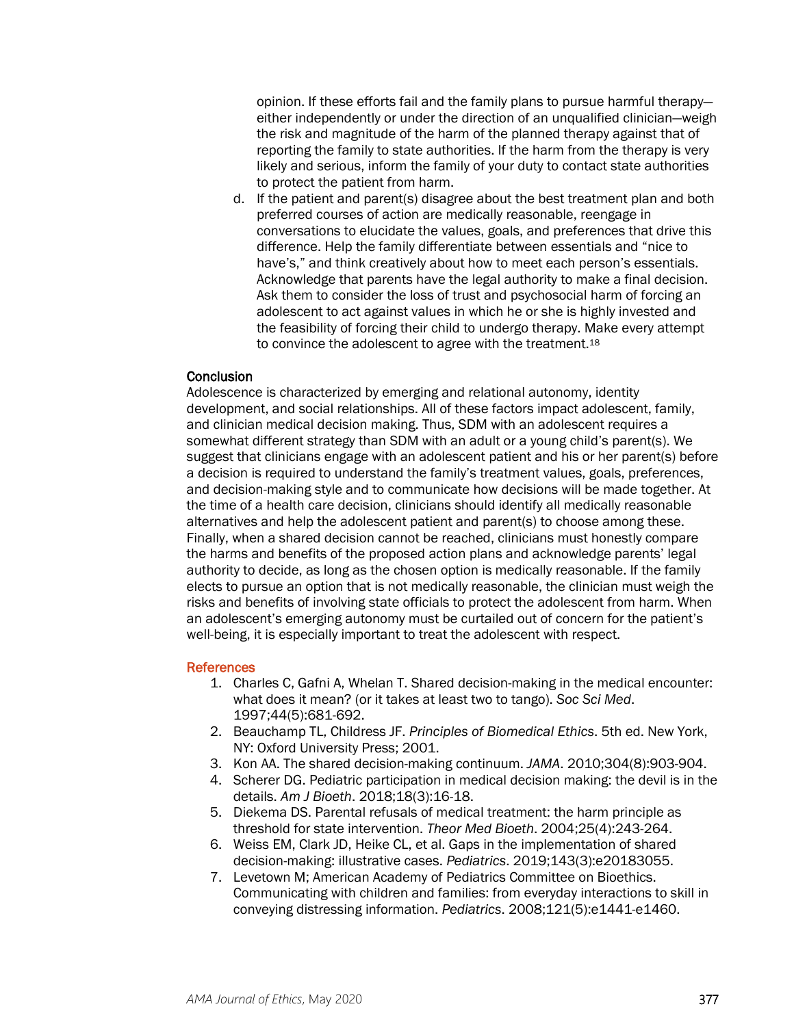opinion. If these efforts fail and the family plans to pursue harmful therapy either independently or under the direction of an unqualified clinician—weigh the risk and magnitude of the harm of the planned therapy against that of reporting the family to state authorities. If the harm from the therapy is very likely and serious, inform the family of your duty to contact state authorities to protect the patient from harm.

d. If the patient and parent(s) disagree about the best treatment plan and both preferred courses of action are medically reasonable, reengage in conversations to elucidate the values, goals, and preferences that drive this difference. Help the family differentiate between essentials and "nice to have's," and think creatively about how to meet each person's essentials. Acknowledge that parents have the legal authority to make a final decision. Ask them to consider the loss of trust and psychosocial harm of forcing an adolescent to act against values in which he or she is highly invested and the feasibility of forcing their child to undergo therapy. Make every attempt to convince the adolescent to agree with the treatment.<sup>18</sup>

### **Conclusion**

Adolescence is characterized by emerging and relational autonomy, identity development, and social relationships. All of these factors impact adolescent, family, and clinician medical decision making. Thus, SDM with an adolescent requires a somewhat different strategy than SDM with an adult or a young child's parent(s). We suggest that clinicians engage with an adolescent patient and his or her parent(s) before a decision is required to understand the family's treatment values, goals, preferences, and decision-making style and to communicate how decisions will be made together. At the time of a health care decision, clinicians should identify all medically reasonable alternatives and help the adolescent patient and parent(s) to choose among these. Finally, when a shared decision cannot be reached, clinicians must honestly compare the harms and benefits of the proposed action plans and acknowledge parents' legal authority to decide, as long as the chosen option is medically reasonable. If the family elects to pursue an option that is not medically reasonable, the clinician must weigh the risks and benefits of involving state officials to protect the adolescent from harm. When an adolescent's emerging autonomy must be curtailed out of concern for the patient's well-being, it is especially important to treat the adolescent with respect.

#### References

- 1. Charles C, Gafni A, Whelan T. Shared decision-making in the medical encounter: what does it mean? (or it takes at least two to tango). *Soc Sci Med*. 1997;44(5):681-692.
- 2. Beauchamp TL, Childress JF. *Principles of Biomedical Ethics*. 5th ed. New York, NY: Oxford University Press; 2001.
- 3. Kon AA. The shared decision-making continuum. *JAMA*. 2010;304(8):903-904.
- 4. Scherer DG. Pediatric participation in medical decision making: the devil is in the details. *Am J Bioeth*. 2018;18(3):16-18.
- 5. Diekema DS. Parental refusals of medical treatment: the harm principle as threshold for state intervention. *Theor Med Bioeth*. 2004;25(4):243-264.
- 6. Weiss EM, Clark JD, Heike CL, et al. Gaps in the implementation of shared decision-making: illustrative cases. *Pediatrics*. 2019;143(3):e20183055.
- 7. Levetown M; American Academy of Pediatrics Committee on Bioethics. Communicating with children and families: from everyday interactions to skill in conveying distressing information. *Pediatrics*. 2008;121(5):e1441-e1460.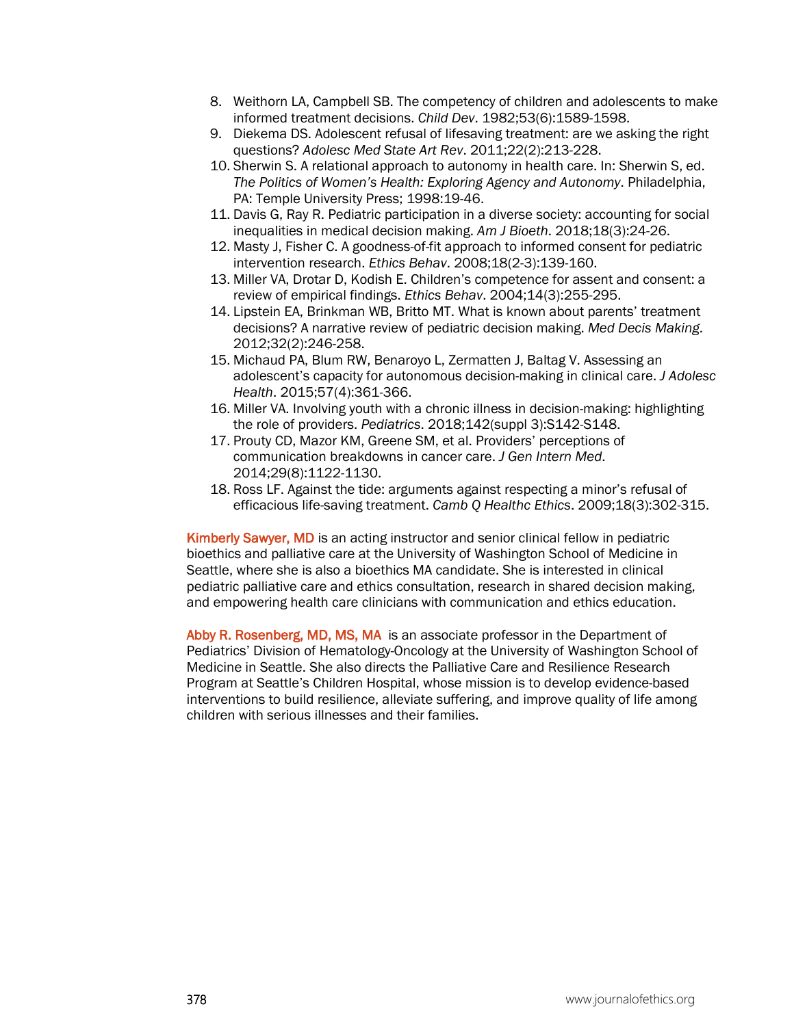- 8. Weithorn LA, Campbell SB. The competency of children and adolescents to make informed treatment decisions. *Child Dev*. 1982;53(6):1589-1598.
- 9. Diekema DS. Adolescent refusal of lifesaving treatment: are we asking the right questions? *Adolesc Med State Art Rev*. 2011;22(2):213-228.
- 10. Sherwin S. A relational approach to autonomy in health care. In: Sherwin S, ed. *The Politics of Women's Health: Exploring Agency and Autonomy*. Philadelphia, PA: Temple University Press; 1998:19-46.
- 11. Davis G, Ray R. Pediatric participation in a diverse society: accounting for social inequalities in medical decision making. *Am J Bioeth*. 2018;18(3):24-26.
- 12. Masty J, Fisher C. A goodness-of-fit approach to informed consent for pediatric intervention research. *Ethics Behav*. 2008;18(2-3):139-160.
- 13. Miller VA, Drotar D, Kodish E. Children's competence for assent and consent: a review of empirical findings. *Ethics Behav*. 2004;14(3):255-295.
- 14. Lipstein EA, Brinkman WB, Britto MT. What is known about parents' treatment decisions? A narrative review of pediatric decision making. *Med Decis Making*. 2012;32(2):246-258.
- 15. Michaud PA, Blum RW, Benaroyo L, Zermatten J, Baltag V. Assessing an adolescent's capacity for autonomous decision-making in clinical care. *J Adolesc Health*. 2015;57(4):361-366.
- 16. Miller VA. Involving youth with a chronic illness in decision-making: highlighting the role of providers. *Pediatrics*. 2018;142(suppl 3):S142-S148.
- 17. Prouty CD, Mazor KM, Greene SM, et al. Providers' perceptions of communication breakdowns in cancer care. *J Gen Intern Med*. 2014;29(8):1122-1130.
- 18. Ross LF. Against the tide: arguments against respecting a minor's refusal of efficacious life-saving treatment. *Camb Q Healthc Ethics*. 2009;18(3):302-315.

Kimberly Sawyer, MD is an acting instructor and senior clinical fellow in pediatric bioethics and palliative care at the University of Washington School of Medicine in Seattle, where she is also a bioethics MA candidate. She is interested in clinical pediatric palliative care and ethics consultation, research in shared decision making, and empowering health care clinicians with communication and ethics education.

Abby R. Rosenberg, MD, MS, MA is an associate professor in the Department of Pediatrics' Division of Hematology-Oncology at the University of Washington School of Medicine in Seattle. She also directs the Palliative Care and Resilience Research Program at Seattle's Children Hospital, whose mission is to develop evidence-based interventions to build resilience, alleviate suffering, and improve quality of life among children with serious illnesses and their families.